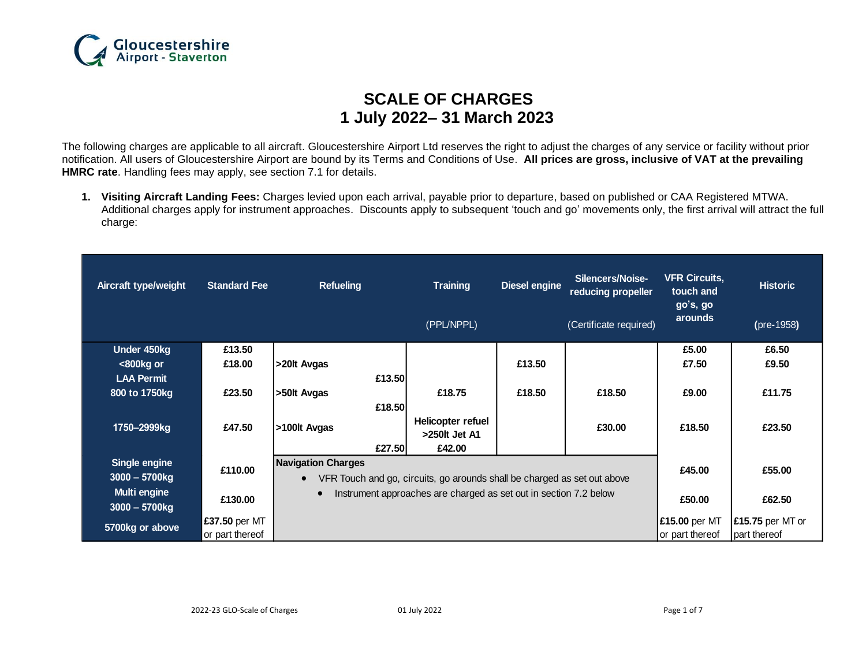

# **SCALE OF CHARGES 1 July 2022– 31 March 2023**

The following charges are applicable to all aircraft. Gloucestershire Airport Ltd reserves the right to adjust the charges of any service or facility without prior notification. All users of Gloucestershire Airport are bound by its Terms and Conditions of Use. **All prices are gross, inclusive of VAT at the prevailing HMRC rate**. Handling fees may apply, see section 7.1 for details.

**1. Visiting Aircraft Landing Fees:** Charges levied upon each arrival, payable prior to departure, based on published or CAA Registered MTWA. Additional charges apply for instrument approaches. Discounts apply to subsequent 'touch and go' movements only, the first arrival will attract the full charge:

| Aircraft type/weight             | <b>Standard Fee</b> | <b>Refueling</b>                                                               | <b>Training</b><br>(PPL/NPPL)                   | <b>Diesel engine</b> | Silencers/Noise-<br>reducing propeller<br>(Certificate required) | <b>VFR Circuits,</b><br>touch and<br>go's, go<br>arounds | <b>Historic</b><br>(pre-1958) |
|----------------------------------|---------------------|--------------------------------------------------------------------------------|-------------------------------------------------|----------------------|------------------------------------------------------------------|----------------------------------------------------------|-------------------------------|
| Under 450kg                      | £13.50              |                                                                                |                                                 |                      |                                                                  | £5.00                                                    | £6.50                         |
| $800kg$ or                       | £18.00              | >20lt Avgas                                                                    |                                                 | £13.50               |                                                                  | £7.50                                                    | £9.50                         |
| <b>LAA Permit</b>                |                     | £13.50                                                                         |                                                 |                      |                                                                  |                                                          |                               |
| 800 to 1750kg                    | £23.50              | >50lt Avgas                                                                    | £18.75                                          | £18.50               | £18.50                                                           | £9.00                                                    | £11.75                        |
| 1750-2999kg                      | £47.50              | £18.50<br>>100lt Avgas<br>£27.50                                               | Helicopter refuel<br>$>250$ It Jet A1<br>£42.00 |                      | £30.00                                                           | £18.50                                                   | £23.50                        |
| Single engine                    | £110.00             | <b>Navigation Charges</b>                                                      |                                                 |                      | £45.00                                                           | £55.00                                                   |                               |
| $3000 - 5700$ kg                 |                     | VFR Touch and go, circuits, go arounds shall be charged as set out above       |                                                 |                      |                                                                  |                                                          |                               |
| Multi engine<br>$3000 - 5700$ kg | £130.00             | Instrument approaches are charged as set out in section 7.2 below<br>$\bullet$ |                                                 |                      | £50.00                                                           | £62.50                                                   |                               |
| 5700kg or above                  | £37.50 per MT       |                                                                                |                                                 |                      |                                                                  | <b>£15.00 per MT</b>                                     | £15.75 per MT or              |
|                                  | or part thereof     |                                                                                |                                                 |                      |                                                                  | or part thereof                                          | part thereof                  |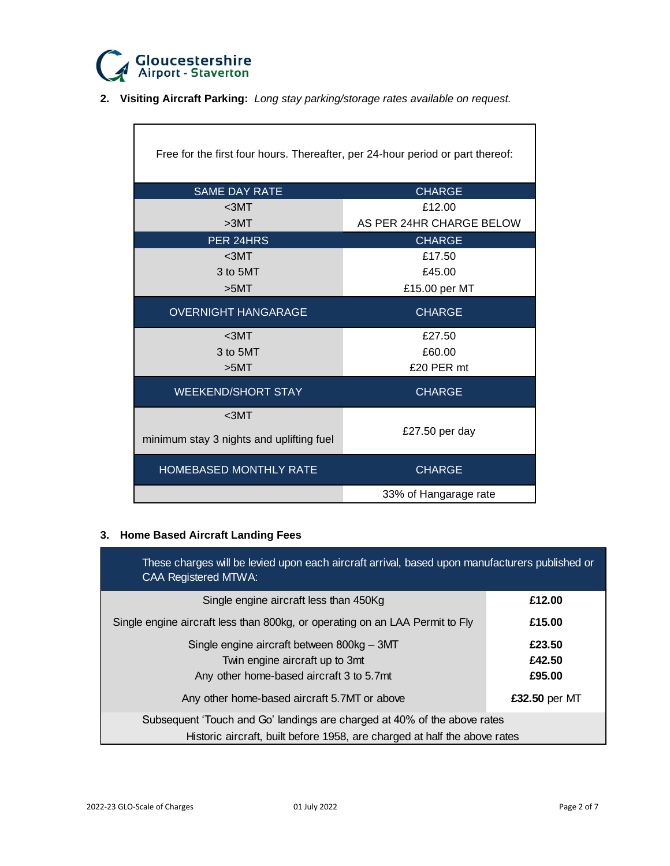

Ē

**2. Visiting Aircraft Parking:** *Long stay parking/storage rates available on request.*

| Free for the first four hours. Thereafter, per 24-hour period or part thereof: |                          |  |  |
|--------------------------------------------------------------------------------|--------------------------|--|--|
| <b>SAME DAY RATE</b>                                                           | <b>CHARGE</b>            |  |  |
| $3MT$                                                                          | £12.00                   |  |  |
| >3MT                                                                           | AS PER 24HR CHARGE BELOW |  |  |
| PER 24HRS                                                                      | <b>CHARGE</b>            |  |  |
| $3MT$                                                                          | £17.50                   |  |  |
| 3 to 5MT                                                                       | £45.00                   |  |  |
| >5MT                                                                           | £15.00 per MT            |  |  |
| <b>OVERNIGHT HANGARAGE</b>                                                     | <b>CHARGE</b>            |  |  |
| $3MT$                                                                          | £27.50                   |  |  |
| 3 to 5MT                                                                       | £60.00                   |  |  |
| >5MT                                                                           | £20 PER mt               |  |  |
| <b>WEEKEND/SHORT STAY</b>                                                      | <b>CHARGE</b>            |  |  |
| $3MT$                                                                          |                          |  |  |
| minimum stay 3 nights and uplifting fuel                                       | £27.50 per day           |  |  |
| HOMEBASED MONTHLY RATE                                                         | <b>CHARGE</b>            |  |  |
|                                                                                | 33% of Hangarage rate    |  |  |

# **3. Home Based Aircraft Landing Fees**

| These charges will be levied upon each aircraft arrival, based upon manufacturers published or<br><b>CAA Registered MTWA:</b> |               |  |
|-------------------------------------------------------------------------------------------------------------------------------|---------------|--|
| Single engine aircraft less than 450Kg                                                                                        | £12.00        |  |
| Single engine aircraft less than 800kg, or operating on an LAA Permit to Fly                                                  | £15.00        |  |
| Single engine aircraft between 800kg - 3MT                                                                                    | £23.50        |  |
| Twin engine aircraft up to 3mt                                                                                                | £42.50        |  |
| Any other home-based aircraft 3 to 5.7mt                                                                                      | £95.00        |  |
| Any other home-based aircraft 5.7MT or above                                                                                  | £32.50 per MT |  |
| Subsequent 'Touch and Go' landings are charged at 40% of the above rates                                                      |               |  |
| Historic aircraft, built before 1958, are charged at half the above rates                                                     |               |  |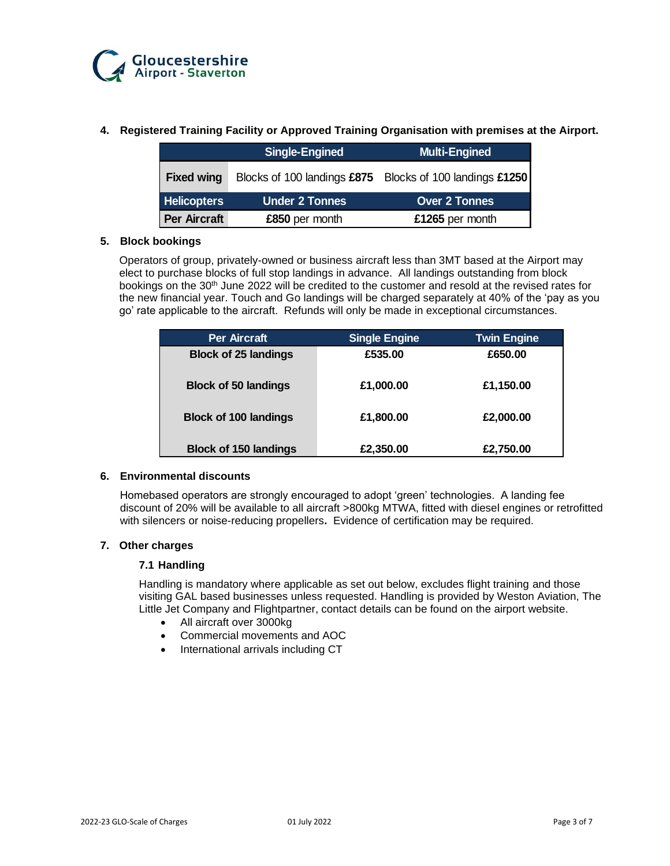

## **4. Registered Training Facility or Approved Training Organisation with premises at the Airport.**

|                     | <b>Single-Engined</b> | <b>Multi-Engined</b>                                     |
|---------------------|-----------------------|----------------------------------------------------------|
| <b>Fixed wing</b>   |                       | Blocks of 100 landings £875 Blocks of 100 landings £1250 |
| <b>Helicopters</b>  | <b>Under 2 Tonnes</b> | <b>Over 2 Tonnes</b>                                     |
| <b>Per Aircraft</b> | £850 per month        | £1265 per month                                          |

## **5. Block bookings**

Operators of group, privately-owned or business aircraft less than 3MT based at the Airport may elect to purchase blocks of full stop landings in advance. All landings outstanding from block bookings on the 30<sup>th</sup> June 2022 will be credited to the customer and resold at the revised rates for the new financial year. Touch and Go landings will be charged separately at 40% of the 'pay as you go' rate applicable to the aircraft. Refunds will only be made in exceptional circumstances.

| <b>Per Aircraft</b>          | <b>Single Engine</b> | <b>Twin Engine</b> |
|------------------------------|----------------------|--------------------|
| <b>Block of 25 landings</b>  | £535.00              | £650.00            |
| <b>Block of 50 landings</b>  | £1,000.00            | £1,150.00          |
| <b>Block of 100 landings</b> | £1,800.00            | £2,000.00          |
| <b>Block of 150 landings</b> | £2,350.00            | £2,750.00          |

#### **6. Environmental discounts**

Homebased operators are strongly encouraged to adopt 'green' technologies. A landing fee discount of 20% will be available to all aircraft >800kg MTWA, fitted with diesel engines or retrofitted with silencers or noise-reducing propellers**.** Evidence of certification may be required.

#### **7. Other charges**

#### **7.1 Handling**

Handling is mandatory where applicable as set out below, excludes flight training and those visiting GAL based businesses unless requested. Handling is provided by Weston Aviation, The Little Jet Company and Flightpartner, contact details can be found on the airport website.

- All aircraft over 3000kg
- Commercial movements and AOC
- International arrivals including CT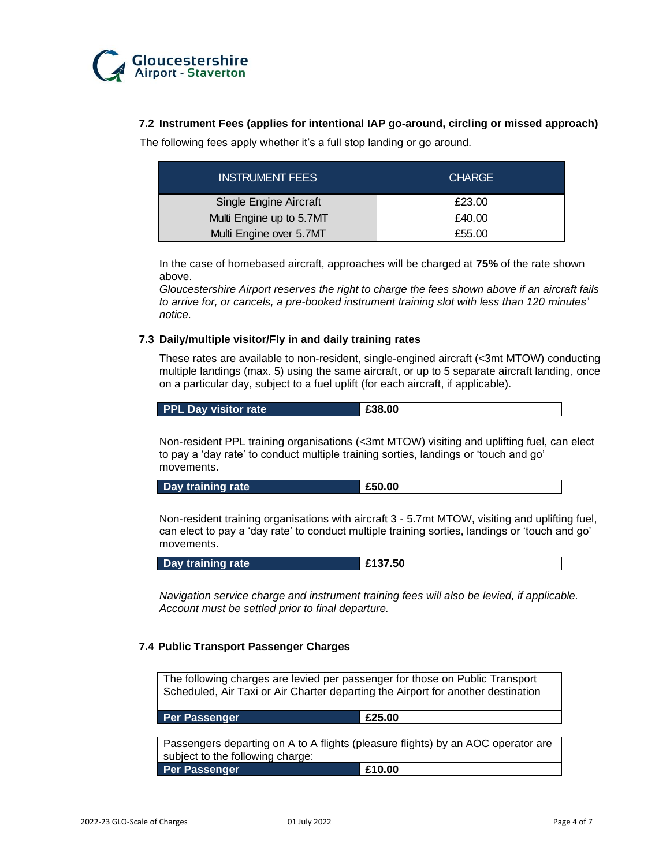

## **7.2 Instrument Fees (applies for intentional IAP go-around, circling or missed approach)**

The following fees apply whether it's a full stop landing or go around.

| <b>INSTRUMENT FEES</b>   | <b>CHARGE</b> |
|--------------------------|---------------|
| Single Engine Aircraft   | £23.00        |
| Multi Engine up to 5.7MT | £40.00        |
| Multi Engine over 5.7MT  | £55.00        |

In the case of homebased aircraft, approaches will be charged at **75%** of the rate shown above.

*Gloucestershire Airport reserves the right to charge the fees shown above if an aircraft fails to arrive for, or cancels, a pre-booked instrument training slot with less than 120 minutes' notice.*

#### **7.3 Daily/multiple visitor/Fly in and daily training rates**

These rates are available to non-resident, single-engined aircraft (<3mt MTOW) conducting multiple landings (max. 5) using the same aircraft, or up to 5 separate aircraft landing, once on a particular day, subject to a fuel uplift (for each aircraft, if applicable).

Non-resident PPL training organisations (<3mt MTOW) visiting and uplifting fuel, can elect to pay a 'day rate' to conduct multiple training sorties, landings or 'touch and go' movements.

| Day training rate | £50.00 |
|-------------------|--------|

Non-resident training organisations with aircraft 3 - 5.7mt MTOW, visiting and uplifting fuel, can elect to pay a 'day rate' to conduct multiple training sorties, landings or 'touch and go' movements.

|--|

*Navigation service charge and instrument training fees will also be levied, if applicable. Account must be settled prior to final departure.*

#### **7.4 Public Transport Passenger Charges**

The following charges are levied per passenger for those on Public Transport Scheduled, Air Taxi or Air Charter departing the Airport for another destination

**Per Passenger E25.00** 

Passengers departing on A to A flights (pleasure flights) by an AOC operator are subject to the following charge: **Per Passenger £10.00**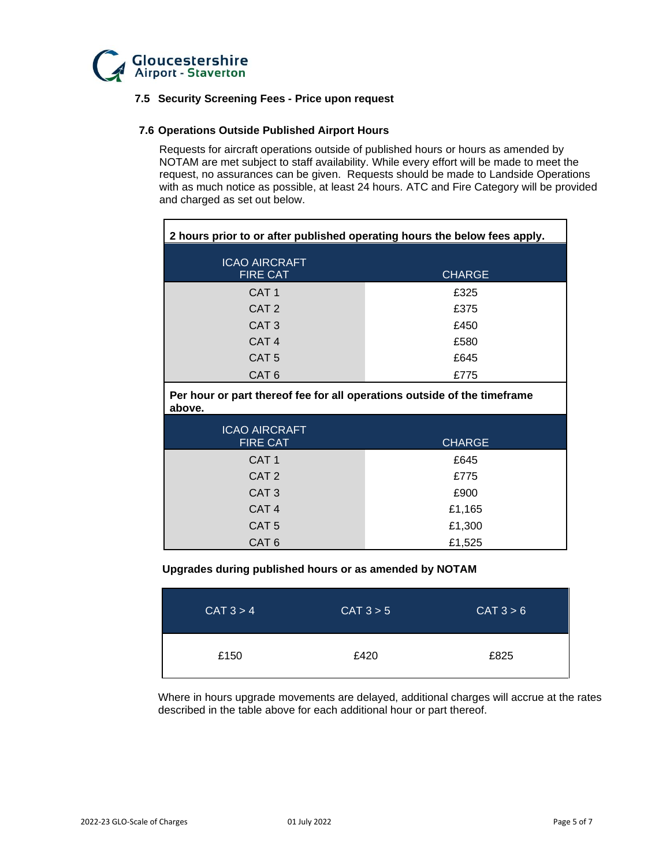

## **7.5 Security Screening Fees - Price upon request**

#### **7.6 Operations Outside Published Airport Hours**

Requests for aircraft operations outside of published hours or hours as amended by NOTAM are met subject to staff availability. While every effort will be made to meet the request, no assurances can be given. Requests should be made to Landside Operations with as much notice as possible, at least 24 hours. ATC and Fire Category will be provided and charged as set out below.

| 2 hours prior to or after published operating hours the below fees apply.          |               |  |  |
|------------------------------------------------------------------------------------|---------------|--|--|
| <b>ICAO AIRCRAFT</b><br><b>FIRE CAT</b>                                            | <b>CHARGE</b> |  |  |
| CAT <sub>1</sub>                                                                   | £325          |  |  |
| CAT <sub>2</sub>                                                                   | £375          |  |  |
| CAT <sub>3</sub>                                                                   | £450          |  |  |
| CAT <sub>4</sub>                                                                   | £580          |  |  |
| CAT <sub>5</sub>                                                                   | £645          |  |  |
| CAT <sub>6</sub>                                                                   | £775          |  |  |
| Per hour or part thereof fee for all operations outside of the timeframe<br>above. |               |  |  |
| <b>ICAO AIRCRAFT</b><br><b>FIRE CAT</b>                                            | <b>CHARGE</b> |  |  |
| CAT <sub>1</sub>                                                                   | £645          |  |  |
| CAT <sub>2</sub>                                                                   | £775          |  |  |
| CAT <sub>3</sub>                                                                   | £900          |  |  |
| CAT <sub>4</sub>                                                                   | £1,165        |  |  |
| CAT <sub>5</sub>                                                                   | £1,300        |  |  |
| CAT <sub>6</sub>                                                                   | £1,525        |  |  |

#### **Upgrades during published hours or as amended by NOTAM**

| CAT 3 > 4 | CAT 3 > 5 | CAT 3 > 6 |
|-----------|-----------|-----------|
| £150      | £420      | £825      |

Where in hours upgrade movements are delayed, additional charges will accrue at the rates described in the table above for each additional hour or part thereof.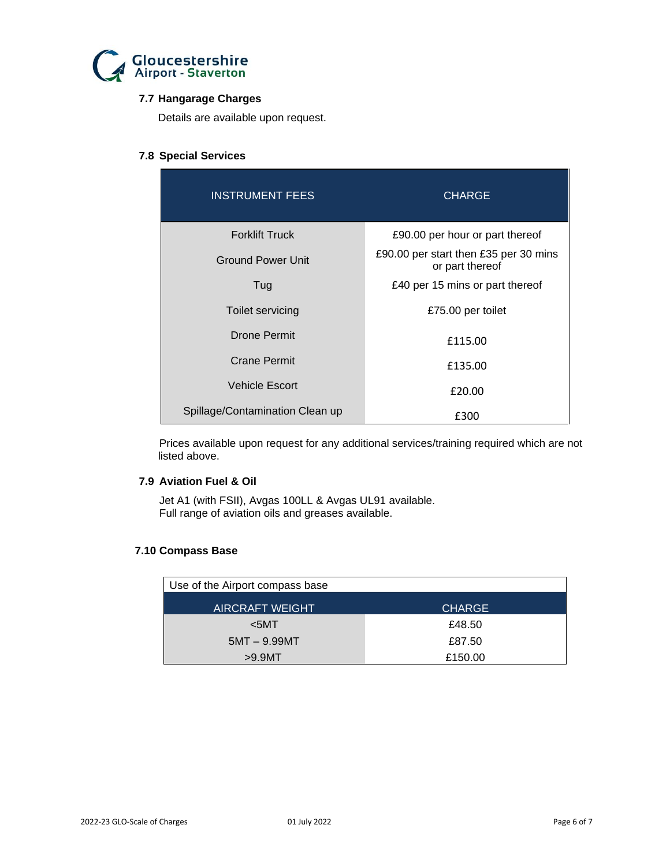

## **7.7 Hangarage Charges**

Details are available upon request.

## **7.8 Special Services**

| <b>INSTRUMENT FEES</b>          | <b>CHARGE</b>                                            |
|---------------------------------|----------------------------------------------------------|
| <b>Forklift Truck</b>           | £90.00 per hour or part thereof                          |
| <b>Ground Power Unit</b>        | £90.00 per start then £35 per 30 mins<br>or part thereof |
| Tug                             | £40 per 15 mins or part thereof                          |
| Toilet servicing                | £75.00 per toilet                                        |
| Drone Permit                    | £115.00                                                  |
| Crane Permit                    | £135.00                                                  |
| <b>Vehicle Escort</b>           | £20.00                                                   |
| Spillage/Contamination Clean up | £300                                                     |

Prices available upon request for any additional services/training required which are not listed above.

## **7.9 Aviation Fuel & Oil**

Jet A1 (with FSII), Avgas 100LL & Avgas UL91 available. Full range of aviation oils and greases available.

## **7.10 Compass Base**

| Use of the Airport compass base |               |
|---------------------------------|---------------|
| <b>AIRCRAFT WEIGHT</b>          | <b>CHARGE</b> |
| $5MT$                           | £48.50        |
| $5MT - 9.99MT$                  | £87.50        |
| $>9.9$ MT                       | £150.00       |